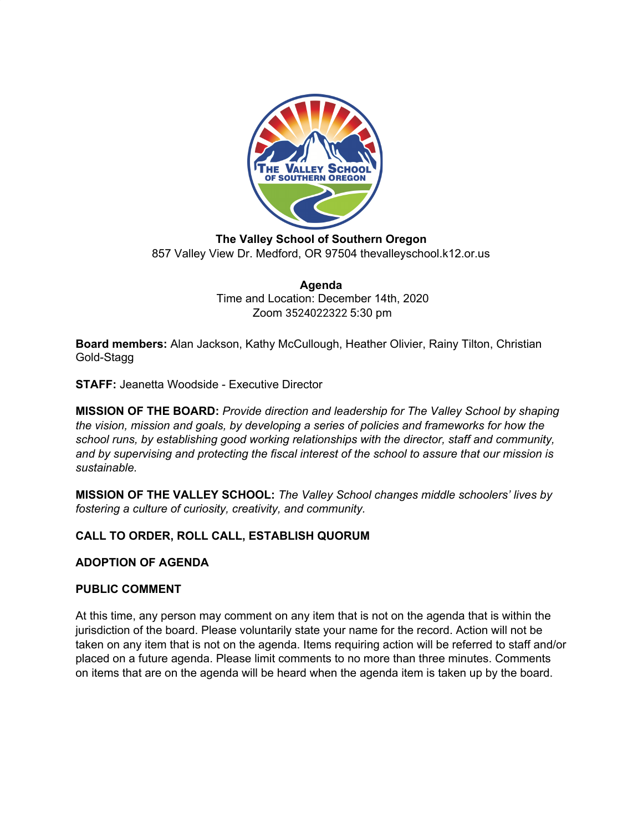

**The Valley School of Southern Oregon** 857 Valley View Dr. Medford, OR 97504 thevalleyschool.k12.or.us

> **Agenda** Time and Location: December 14th, 2020 Zoom 3524022322 5:30 pm

**Board members:** Alan Jackson, Kathy McCullough, Heather Olivier, Rainy Tilton, Christian Gold-Stagg

**STAFF:** Jeanetta Woodside - Executive Director

**MISSION OF THE BOARD:** *Provide direction and leadership for The Valley School by shaping the vision, mission and goals, by developing a series of policies and frameworks for how the school runs, by establishing good working relationships with the director, staff and community, and by supervising and protecting the fiscal interest of the school to assure that our mission is sustainable.*

**MISSION OF THE VALLEY SCHOOL:** *The Valley School changes middle schoolers' lives by fostering a culture of curiosity, creativity, and community.*

# **CALL TO ORDER, ROLL CALL, ESTABLISH QUORUM**

## **ADOPTION OF AGENDA**

#### **PUBLIC COMMENT**

At this time, any person may comment on any item that is not on the agenda that is within the jurisdiction of the board. Please voluntarily state your name for the record. Action will not be taken on any item that is not on the agenda. Items requiring action will be referred to staff and/or placed on a future agenda. Please limit comments to no more than three minutes. Comments on items that are on the agenda will be heard when the agenda item is taken up by the board.